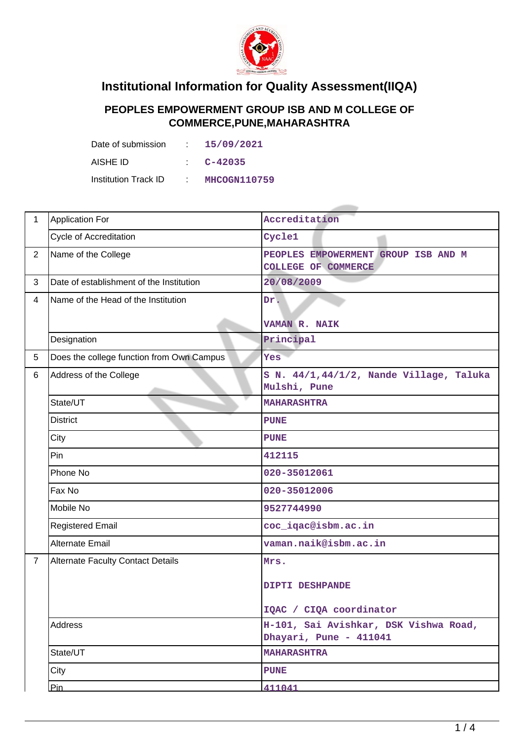

## **Institutional Information for Quality Assessment(IIQA)**

## **PEOPLES EMPOWERMENT GROUP ISB AND M COLLEGE OF COMMERCE,PUNE,MAHARASHTRA**

| Date of submission   | di s          | 15/09/2021   |  |  |
|----------------------|---------------|--------------|--|--|
| AISHE ID             |               | C-42035      |  |  |
| Institution Track ID | <b>ALC 10</b> | MHCOGN110759 |  |  |

| $\mathbf{1}$   | <b>Application For</b>                    | Accreditation                                                     |  |  |  |
|----------------|-------------------------------------------|-------------------------------------------------------------------|--|--|--|
|                | Cycle of Accreditation                    | Cycle1                                                            |  |  |  |
| $\overline{2}$ | Name of the College                       | PEOPLES EMPOWERMENT GROUP ISB AND M<br><b>COLLEGE OF COMMERCE</b> |  |  |  |
| 3              | Date of establishment of the Institution  | 20/08/2009                                                        |  |  |  |
| $\overline{4}$ | Name of the Head of the Institution       | Dr.<br><b>VAMAN R. NAIK</b>                                       |  |  |  |
|                | Designation                               | Principal                                                         |  |  |  |
| 5              | Does the college function from Own Campus | Yes                                                               |  |  |  |
| 6              | Address of the College                    | S N. 44/1,44/1/2, Nande Village, Taluka<br>Mulshi, Pune           |  |  |  |
|                | State/UT                                  | <b>MAHARASHTRA</b>                                                |  |  |  |
|                | <b>District</b>                           | <b>PUNE</b>                                                       |  |  |  |
|                | City                                      | <b>PUNE</b>                                                       |  |  |  |
|                | Pin                                       | 412115                                                            |  |  |  |
|                | Phone No                                  | 020-35012061                                                      |  |  |  |
|                | Fax No                                    | 020-35012006                                                      |  |  |  |
|                | Mobile No                                 | 9527744990                                                        |  |  |  |
|                | <b>Registered Email</b>                   | coc_iqac@isbm.ac.in                                               |  |  |  |
|                | <b>Alternate Email</b>                    | vaman.naik@isbm.ac.in                                             |  |  |  |
| $\overline{7}$ | <b>Alternate Faculty Contact Details</b>  | Mrs.<br><b>DIPTI DESHPANDE</b>                                    |  |  |  |
|                |                                           |                                                                   |  |  |  |
|                |                                           | IQAC / CIQA coordinator                                           |  |  |  |
|                | <b>Address</b>                            | H-101, Sai Avishkar, DSK Vishwa Road,<br>Dhayari, Pune - 411041   |  |  |  |
|                | State/UT                                  | <b>MAHARASHTRA</b>                                                |  |  |  |
|                | City                                      | <b>PUNE</b>                                                       |  |  |  |
|                | Pin                                       | 411041                                                            |  |  |  |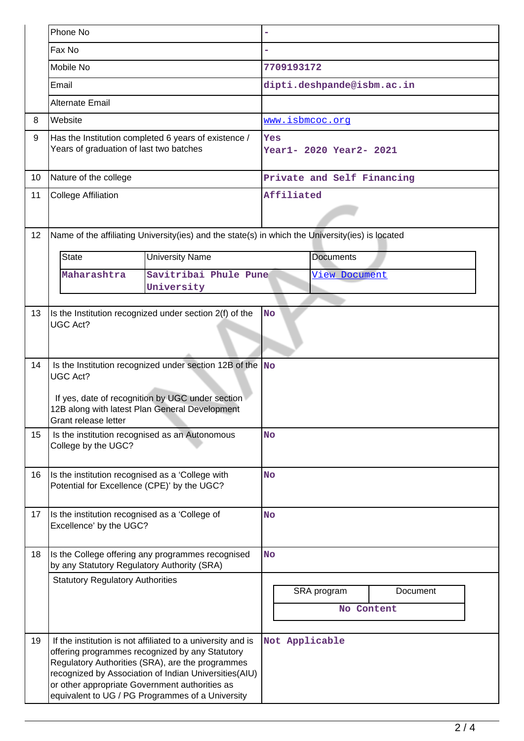|    | Phone No                                                                                                                                                                                                   |                                                                                                                                                                                                                                                                                                                                   |                                |                  |                            |          |  |
|----|------------------------------------------------------------------------------------------------------------------------------------------------------------------------------------------------------------|-----------------------------------------------------------------------------------------------------------------------------------------------------------------------------------------------------------------------------------------------------------------------------------------------------------------------------------|--------------------------------|------------------|----------------------------|----------|--|
|    | Fax No                                                                                                                                                                                                     |                                                                                                                                                                                                                                                                                                                                   |                                |                  |                            |          |  |
|    | Mobile No                                                                                                                                                                                                  |                                                                                                                                                                                                                                                                                                                                   | 7709193172                     |                  |                            |          |  |
|    | Email                                                                                                                                                                                                      |                                                                                                                                                                                                                                                                                                                                   |                                |                  | dipti.deshpande@isbm.ac.in |          |  |
|    | <b>Alternate Email</b>                                                                                                                                                                                     |                                                                                                                                                                                                                                                                                                                                   |                                |                  |                            |          |  |
| 8  | Website                                                                                                                                                                                                    |                                                                                                                                                                                                                                                                                                                                   | www.isbmcoc.org                |                  |                            |          |  |
| 9  | Has the Institution completed 6 years of existence /<br>Years of graduation of last two batches                                                                                                            |                                                                                                                                                                                                                                                                                                                                   | Yes<br>Year1- 2020 Year2- 2021 |                  |                            |          |  |
| 10 | Nature of the college                                                                                                                                                                                      |                                                                                                                                                                                                                                                                                                                                   | Private and Self Financing     |                  |                            |          |  |
| 11 | <b>College Affiliation</b>                                                                                                                                                                                 |                                                                                                                                                                                                                                                                                                                                   | Affiliated                     |                  |                            |          |  |
| 12 |                                                                                                                                                                                                            | Name of the affiliating University(ies) and the state(s) in which the University(ies) is located                                                                                                                                                                                                                                  |                                |                  |                            |          |  |
|    | <b>State</b>                                                                                                                                                                                               | <b>University Name</b>                                                                                                                                                                                                                                                                                                            |                                | <b>Documents</b> |                            |          |  |
|    | Maharashtra                                                                                                                                                                                                | Savitribai Phule Pune                                                                                                                                                                                                                                                                                                             |                                |                  | View Document              |          |  |
|    |                                                                                                                                                                                                            | University                                                                                                                                                                                                                                                                                                                        |                                |                  |                            |          |  |
| 13 | Is the Institution recognized under section 2(f) of the<br><b>UGC Act?</b>                                                                                                                                 |                                                                                                                                                                                                                                                                                                                                   | <b>No</b>                      |                  |                            |          |  |
| 14 | Is the Institution recognized under section 12B of the No<br><b>UGC Act?</b><br>If yes, date of recognition by UGC under section<br>12B along with latest Plan General Development<br>Grant release letter |                                                                                                                                                                                                                                                                                                                                   |                                |                  |                            |          |  |
| 15 | Is the institution recognised as an Autonomous<br>College by the UGC?                                                                                                                                      |                                                                                                                                                                                                                                                                                                                                   | <b>No</b>                      |                  |                            |          |  |
| 16 | Is the institution recognised as a 'College with<br>Potential for Excellence (CPE)' by the UGC?                                                                                                            |                                                                                                                                                                                                                                                                                                                                   | <b>No</b>                      |                  |                            |          |  |
| 17 | Is the institution recognised as a 'College of<br>Excellence' by the UGC?                                                                                                                                  |                                                                                                                                                                                                                                                                                                                                   | <b>No</b>                      |                  |                            |          |  |
| 18 | Is the College offering any programmes recognised<br>by any Statutory Regulatory Authority (SRA)                                                                                                           |                                                                                                                                                                                                                                                                                                                                   | <b>No</b>                      |                  |                            |          |  |
|    | <b>Statutory Regulatory Authorities</b>                                                                                                                                                                    |                                                                                                                                                                                                                                                                                                                                   |                                |                  | SRA program                | Document |  |
|    |                                                                                                                                                                                                            |                                                                                                                                                                                                                                                                                                                                   |                                |                  | No Content                 |          |  |
|    |                                                                                                                                                                                                            |                                                                                                                                                                                                                                                                                                                                   |                                |                  |                            |          |  |
| 19 |                                                                                                                                                                                                            | If the institution is not affiliated to a university and is<br>offering programmes recognized by any Statutory<br>Regulatory Authorities (SRA), are the programmes<br>recognized by Association of Indian Universities(AIU)<br>or other appropriate Government authorities as<br>equivalent to UG / PG Programmes of a University |                                |                  | Not Applicable             |          |  |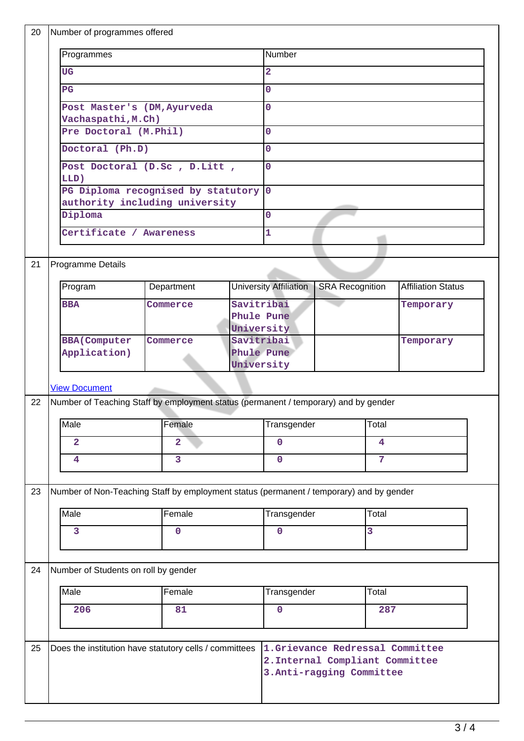| 20 | Number of programmes offered                                                                                |                                                                                         |                                                              |                                 |                        |                |                           |
|----|-------------------------------------------------------------------------------------------------------------|-----------------------------------------------------------------------------------------|--------------------------------------------------------------|---------------------------------|------------------------|----------------|---------------------------|
|    | Programmes                                                                                                  |                                                                                         |                                                              | Number                          |                        |                |                           |
|    | <b>UG</b>                                                                                                   |                                                                                         |                                                              | $\overline{\mathbf{2}}$         |                        |                |                           |
|    | $_{\rm PG}$                                                                                                 |                                                                                         | $\overline{0}$                                               |                                 |                        |                |                           |
|    | Post Master's (DM, Ayurveda                                                                                 |                                                                                         | $\overline{0}$                                               |                                 |                        |                |                           |
|    | Vachaspathi, M.Ch)<br>Pre Doctoral (M.Phil)                                                                 |                                                                                         | $\overline{0}$                                               |                                 |                        |                |                           |
|    |                                                                                                             |                                                                                         |                                                              |                                 |                        |                |                           |
|    | Doctoral (Ph.D)                                                                                             |                                                                                         | $\overline{0}$                                               |                                 |                        |                |                           |
|    | Post Doctoral (D.Sc , D.Litt ,<br>LLD)                                                                      |                                                                                         | $\overline{0}$                                               |                                 |                        |                |                           |
|    |                                                                                                             | PG Diploma recognised by statutory                                                      |                                                              | $\overline{0}$                  |                        |                |                           |
|    | Diploma                                                                                                     | authority including university                                                          |                                                              | $\mathbf{0}$<br>1               |                        |                |                           |
|    | Certificate / Awareness                                                                                     |                                                                                         |                                                              |                                 |                        |                |                           |
|    |                                                                                                             |                                                                                         |                                                              |                                 |                        |                |                           |
| 21 | Programme Details                                                                                           |                                                                                         |                                                              |                                 |                        |                |                           |
|    |                                                                                                             |                                                                                         |                                                              |                                 |                        |                |                           |
|    | Program                                                                                                     | Department                                                                              |                                                              | <b>University Affiliation</b>   | <b>SRA Recognition</b> |                | <b>Affiliation Status</b> |
|    | <b>BBA</b>                                                                                                  | Commerce                                                                                | Savitribai<br>Phule Pune                                     |                                 |                        |                | Temporary                 |
|    |                                                                                                             |                                                                                         |                                                              | University                      |                        |                |                           |
|    | <b>BBA</b> (Computer                                                                                        | Commerce                                                                                |                                                              | Savitribai                      |                        |                | Temporary                 |
|    | Application)                                                                                                |                                                                                         |                                                              | Phule Pune<br>University        |                        |                |                           |
|    |                                                                                                             |                                                                                         |                                                              |                                 |                        |                |                           |
| 22 | <b>View Document</b><br>Number of Teaching Staff by employment status (permanent / temporary) and by gender |                                                                                         |                                                              |                                 |                        |                |                           |
|    |                                                                                                             |                                                                                         |                                                              |                                 |                        |                |                           |
|    | Male                                                                                                        | Female                                                                                  |                                                              | Transgender                     |                        | Total          |                           |
|    | 2                                                                                                           | 2                                                                                       |                                                              | $\mathbf 0$                     |                        | 4              |                           |
|    | 4                                                                                                           | 3                                                                                       |                                                              | $\mathbf 0$                     |                        | $\overline{7}$ |                           |
|    |                                                                                                             |                                                                                         |                                                              |                                 |                        |                |                           |
| 23 |                                                                                                             | Number of Non-Teaching Staff by employment status (permanent / temporary) and by gender |                                                              |                                 |                        |                |                           |
|    | Male                                                                                                        | Female                                                                                  |                                                              | Transgender                     |                        | Total          |                           |
|    | 3                                                                                                           | $\mathbf 0$                                                                             |                                                              | $\mathbf 0$                     |                        | 3              |                           |
|    |                                                                                                             |                                                                                         |                                                              |                                 |                        |                |                           |
| 24 | Number of Students on roll by gender                                                                        |                                                                                         |                                                              |                                 |                        |                |                           |
|    |                                                                                                             |                                                                                         |                                                              |                                 |                        |                |                           |
|    |                                                                                                             | Male<br>Female                                                                          |                                                              | Transgender                     |                        | Total          |                           |
|    | 206                                                                                                         | 81                                                                                      |                                                              | $\mathbf 0$                     |                        | 287            |                           |
|    |                                                                                                             |                                                                                         |                                                              |                                 |                        |                |                           |
| 25 |                                                                                                             | Does the institution have statutory cells / committees                                  |                                                              | 1.Grievance Redressal Committee |                        |                |                           |
|    |                                                                                                             |                                                                                         | 2. Internal Compliant Committee<br>3. Anti-ragging Committee |                                 |                        |                |                           |
|    |                                                                                                             |                                                                                         |                                                              |                                 |                        |                |                           |
|    |                                                                                                             |                                                                                         |                                                              |                                 |                        |                |                           |